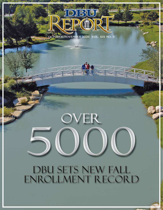CTOBER/NOVEMBER 2006 VOL. XIX NO. 5

## OVER

## **DBU SETS NEW FALL** ENROLLMENT RECORD